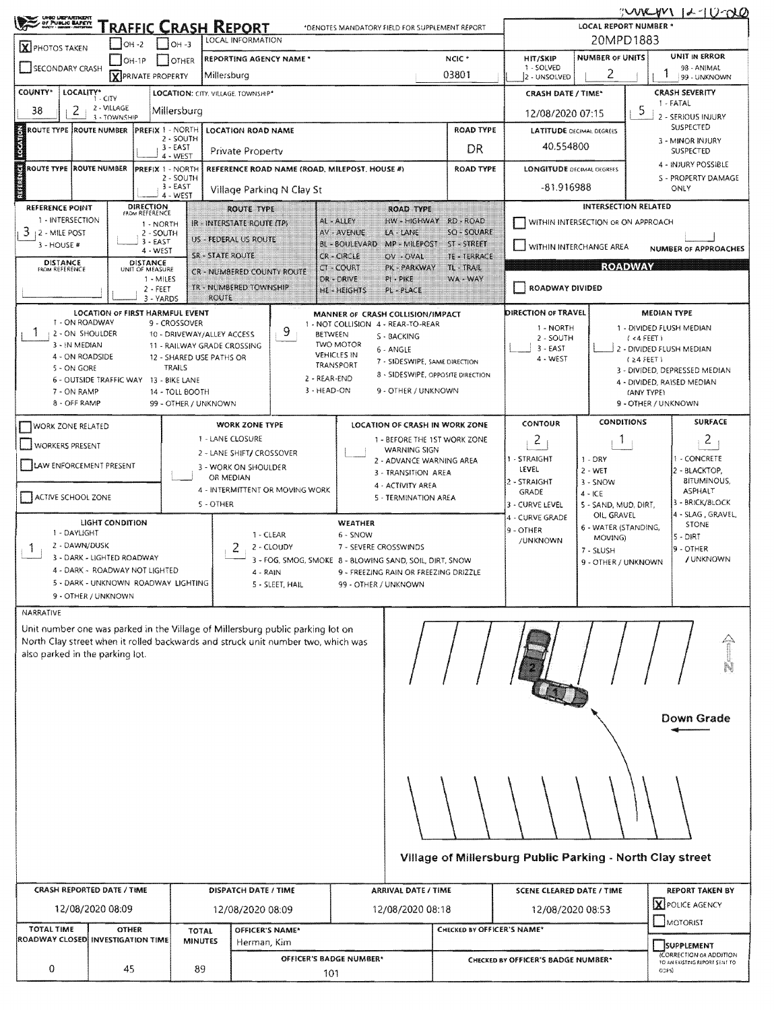| UNGO UNIZANTINIZITI<br>UP PUBLIC BAPETT                                                                                                                                                                                                                                                                                                                                                                                                                                                                              | $IOH -2$                                                                                                                                                                                                                                                                                                                                                                                                                                                                                                                                                                                                                                         | $1$ OH -3              | <u>RAFFIC CRASH REPORT</u><br>*DENOTES MANDATORY FIELD FOR SUPPLEMENT REPORT<br>LOCAL INFORMATION                                                                        | WURYVI K-10-00<br>LOCAL REPORT NUMBER *<br>20MPD1883<br>UNIT IN ERROR<br><b>NUMBER OF UNITS</b><br><b>HIT/SKIP</b>                                                                              |                                                                                                                                |                                                                                                                                                           |                                                                                                   |                                                                                                                                               |                                                                                                               |
|----------------------------------------------------------------------------------------------------------------------------------------------------------------------------------------------------------------------------------------------------------------------------------------------------------------------------------------------------------------------------------------------------------------------------------------------------------------------------------------------------------------------|--------------------------------------------------------------------------------------------------------------------------------------------------------------------------------------------------------------------------------------------------------------------------------------------------------------------------------------------------------------------------------------------------------------------------------------------------------------------------------------------------------------------------------------------------------------------------------------------------------------------------------------------------|------------------------|--------------------------------------------------------------------------------------------------------------------------------------------------------------------------|-------------------------------------------------------------------------------------------------------------------------------------------------------------------------------------------------|--------------------------------------------------------------------------------------------------------------------------------|-----------------------------------------------------------------------------------------------------------------------------------------------------------|---------------------------------------------------------------------------------------------------|-----------------------------------------------------------------------------------------------------------------------------------------------|---------------------------------------------------------------------------------------------------------------|
| <b>X</b> PHOTOS TAKEN<br><b>SECONDARY CRASH</b>                                                                                                                                                                                                                                                                                                                                                                                                                                                                      | $OH-1P$<br><b>X</b> PRIVATE PROPERTY                                                                                                                                                                                                                                                                                                                                                                                                                                                                                                                                                                                                             | OTHER                  | REPORTING AGENCY NAME *<br>Millersburg                                                                                                                                   |                                                                                                                                                                                                 | NCIC <sup>+</sup><br>03801                                                                                                     | 1 - SOLVED<br>2 - UNSOLVED                                                                                                                                | 2                                                                                                 |                                                                                                                                               | 98 - ANIMAL<br>99 - UNKNOWN                                                                                   |
| COUNTY*<br>LOCALITY*<br>LOCATION: CITY. VILLAGE. TOWNSHIP*<br>$1 - CITY$<br>2 - VILLAGE<br>2<br>38<br>Millersburg<br>3 - TOWNSHIP                                                                                                                                                                                                                                                                                                                                                                                    |                                                                                                                                                                                                                                                                                                                                                                                                                                                                                                                                                                                                                                                  |                        |                                                                                                                                                                          |                                                                                                                                                                                                 |                                                                                                                                | <b>CRASH SEVERITY</b><br><b>CRASH DATE / TIME*</b><br>1 - FATAL<br>5<br>12/08/2020 07:15<br>2 - SERIOUS INJURY                                            |                                                                                                   |                                                                                                                                               |                                                                                                               |
| <b>CONGRA</b><br>ROUTE TYPE ROUTE NUMBER                                                                                                                                                                                                                                                                                                                                                                                                                                                                             |                                                                                                                                                                                                                                                                                                                                                                                                                                                                                                                                                                                                                                                  | <b>ROAD TYPE</b><br>DR | <b>LATITUDE OECIMAL DEGREES</b><br>40,554800                                                                                                                             |                                                                                                                                                                                                 |                                                                                                                                | SUSPECTED<br>3 - MINOR INJURY<br>SUSPECTED                                                                                                                |                                                                                                   |                                                                                                                                               |                                                                                                               |
| g<br>ROUTE TYPE ROUTE NUMBER<br>REFERENCE ROAD NAME (ROAD, MILEPOST, HOUSE #)<br><b>PREFIX 1 - NORTH</b><br>2 - SOUTH<br><b>REAL</b><br>3 - EAST<br>Village Parking N Clay St<br>$4 - WEST$                                                                                                                                                                                                                                                                                                                          |                                                                                                                                                                                                                                                                                                                                                                                                                                                                                                                                                                                                                                                  |                        |                                                                                                                                                                          |                                                                                                                                                                                                 | <b>ROAD TYPE</b>                                                                                                               | 4 - INJURY POSSIBLE<br><b>LONGITUDE DECIMAL DEGREES</b><br>-81.916988<br>ONLY                                                                             |                                                                                                   |                                                                                                                                               | S - PROPERTY DAMAGE                                                                                           |
| <b>REFERENCE POINT</b><br>1 - INTERSECTION<br>3.<br>2 - MILE POST<br>3 - HOUSE #<br><b>DISTANCE</b><br>FROM REFERENCE                                                                                                                                                                                                                                                                                                                                                                                                | DIRECTION<br><b>ROUTE TYPE</b><br><b>ROAD TYPE</b><br>FROM REFERENCE<br>AL-ALLEY<br>HW-HIGHWAY<br>RD - ROAD<br>IR – INTERSTATE ROUTE (TP)<br>1 - NORTH<br>SQ - SQUARE<br>AV - AVENUE<br>LA - LANE<br>$2 - SOLTH$<br>US - FEDERAL US ROUTE<br>$3 - EAST$<br>MP - MILEPOST<br>ST-STREET<br>BL - BOULEVARD<br>4 - WEST<br><b>SR - STATE ROUTE</b><br>CR - CIRCLE<br>TE - TERRACE<br>OV - OVAL<br><b>DISTANCE</b><br>TL - TRAIL<br>$CT - COURT$<br>PK - PARKWAY<br>UNIT OF MEASURE<br><b>CR - NUMBERED COUNTY ROUTE</b><br>1 - MILES<br>WA - WAY<br>DR - DRIVE<br>PI - PIKE<br>TR - NUMBERED TOWNSHIP<br>$2 - FEET$<br><b>HE-HEIGHTS</b><br>PL-PLACE |                        |                                                                                                                                                                          |                                                                                                                                                                                                 |                                                                                                                                | <b>INTERSECTION RELATED</b><br>WITHIN INTERSECTION OR ON APPROACH<br>WITHIN INTERCHANGE AREA<br><b>NUMBER OF APPROACHES</b><br>ROMOWAY<br>ROADWAY DIVIDED |                                                                                                   |                                                                                                                                               |                                                                                                               |
| <b>ROUTE</b><br>3 - YARDS<br>LOCATION OF FIRST HARMFUL EVENT<br>T - ON ROADWAY<br>9 - CROSSOVER<br>9.<br>T<br>2 - ON SHOULDER<br><b>BETWEEN</b><br>10 - DRIVEWAY/ALLEY ACCESS<br><b>TWO MOTOR</b><br>3 - IN MEDIAN<br>11 - RAILWAY GRADE CROSSING<br><b>VEHICLES IN</b><br>4 - ON ROADSIDE<br>12 - SHARED USE PATHS OR<br>TRANSPORT<br>5 - ON GORE<br>TRAILS<br>2 - REAR-END<br>6 - OUTSIDE TRAFFIC WAY<br>13 - BIKE LANE<br>$3 - HEAD-ON$<br>7 - ON RAMP<br>14 - TOLL BOOTH<br>8 - OFF RAMP<br>99 - OTHER / UNKNOWN |                                                                                                                                                                                                                                                                                                                                                                                                                                                                                                                                                                                                                                                  |                        |                                                                                                                                                                          | MANNER OF CRASH COLLISION/IMPACT<br>1 - NOT COLLISION 4 - REAR-TO-REAR<br>S - BACKING<br>6 - ANGLE<br>7 - SIDESWIPE, SAME DIRECTION<br>8 - SIDESWIPE, OPPOSITE DIRECTION<br>9 - OTHER / UNKNOWN |                                                                                                                                | <b>DIRECTION OF TRAVEL</b><br>1 - NORTH<br>2 - SOUTH<br>$3 - EAST$<br>4 - WEST                                                                            |                                                                                                   | <b>MEDIAN TYPE</b><br>1 - DIVIDED FLUSH MEDIAN<br>$(44$ FEET)<br>2 - DIVIDED FLUSH MEDIAN<br>$424$ FEET)<br>(ANY TYPE)<br>9 - OTHER / UNKNOWN | 3 - DIVIDED, DEPRESSED MEDIAN<br>4 - DIVIDED, RAISED MEDIAN                                                   |
| WORK ZONE RELATED<br><b>WORKERS PRESENT</b><br>LAW ENFORCEMENT PRESENT<br>ACTIVE SCHOOL ZONE                                                                                                                                                                                                                                                                                                                                                                                                                         |                                                                                                                                                                                                                                                                                                                                                                                                                                                                                                                                                                                                                                                  |                        | <b>WORK ZONE TYPE</b><br>1 - LANE CLOSURE<br>2 - LANE SHIFT/ CROSSOVER<br>3 - WORK ON SHOULDER<br>OR MEDIAN<br>4 - INTERMITTENT OR MOVING WORK<br>5 - OTHER              | LOCATION OF CRASH IN WORK ZONE<br>1 - BEFORE THE 1ST WORK ZONE<br><b>WARNING SIGN</b><br>2 - ADVANCE WARNING AREA<br>3 - TRANSITION AREA<br>4 - ACTIVITY AREA<br>5 - TERMINATION AREA           |                                                                                                                                | <b>CONTOUR</b><br>2<br>1 - STRAIGHT<br>LEVEL<br>2 - STRAIGHT<br><b>GRADE</b><br>3 - CURVE LEVEL                                                           | <b>CONDITIONS</b><br>T<br>$1 - DRY$<br>$2 - WET$<br>3 - SNOW<br>$4 - ICE$<br>5 - SAND, MUD, DIRT. |                                                                                                                                               | <b>SURFACE</b><br>2<br>- CONCRETE<br>2 - BLACKTOP,<br><b>BITUMINOUS,</b><br><b>ASPHALT</b><br>3 - BRICK/BLOCK |
| LIGHT CONDITION<br>1 - DAYLIGHT<br>1 - CLEAR<br>2 - DAWN/DUSK<br>2<br>$2 - CLOUDY$<br>Т.<br>3 - DARK - LIGHTED ROADWAY<br>4 - DARK - ROADWAY NOT LIGHTED<br>4 - RAIN<br>5 - DARK - UNKNOWN ROADWAY LIGHTING<br>5 - SLEET, HAIL<br>9 - OTHER / UNKNOWN                                                                                                                                                                                                                                                                |                                                                                                                                                                                                                                                                                                                                                                                                                                                                                                                                                                                                                                                  |                        | WEATHER<br>6 - SNOW<br>7 - SEVERE CROSSWINDS<br>3 - FOG, SMOG, SMOKE 8 - BLOWING SAND, SOIL, DIRT, SNOW<br>9 - FREEZING RAIN OR FREEZING DRIZZLE<br>99 - OTHER / UNKNOWN |                                                                                                                                                                                                 | OIL, GRAVEL<br>4 - CURVE GRADE<br>6 - WATER (STANDING,<br>9 - OTHER<br>MOVING)<br>/UNKNOWN<br>7 - SLUSH<br>9 - OTHER / UNKNOWN |                                                                                                                                                           |                                                                                                   | 4 - SLAG, GRAVEL,<br><b>STONE</b><br>$5 - DIRT$<br>9 - OTHER<br>/ UNKNOWN                                                                     |                                                                                                               |
| NARRATIVE<br>also parked in the parking lot.                                                                                                                                                                                                                                                                                                                                                                                                                                                                         |                                                                                                                                                                                                                                                                                                                                                                                                                                                                                                                                                                                                                                                  |                        | Unit number one was parked in the Village of Millersburg public parking lot on<br>North Clay street when it rolled backwards and struck unit number two, which was       |                                                                                                                                                                                                 |                                                                                                                                |                                                                                                                                                           |                                                                                                   |                                                                                                                                               |                                                                                                               |

Down Grade

## Village of Millersburg Public Parking - North Clay street

| CRASH REPORTED DATE / TIME |                                    | DISPATCH DATE / TIME |                 | ARRIVAL DATE / TIME     |                            | <b>SCENE CLEARED DATE / TIME</b>   | <b>REPORT TAKEN BY</b>                                          |  |
|----------------------------|------------------------------------|----------------------|-----------------|-------------------------|----------------------------|------------------------------------|-----------------------------------------------------------------|--|
| 12/08/2020 08:09           |                                    | 12/08/2020 08:09     |                 | 12/08/2020 08:18        |                            | 12/08/2020 08:53                   | I X POLICE AGENCY<br><b>IMOTORIST</b>                           |  |
| TOTAL TIME                 | <b>OTHER</b>                       | <b>TOTAL</b>         | OFFICER'S NAME* |                         | CHECKED BY OFFICER'S NAME* |                                    |                                                                 |  |
|                            | ROADWAY CLOSEDI INVESTIGATION TIME | <b>MINUTES</b>       | Herman, Kim     |                         |                            |                                    | <b>SUPPLEMENT</b>                                               |  |
|                            |                                    |                      |                 | OFFICER'S BADGE NUMBER* |                            | CHECKED BY OFFICER'S BADGE NUMBER* | <b>ICORRECTION OR ADDITION</b><br>TO AN EXISTING REPORT SENT TO |  |
|                            | 45                                 | 89                   |                 | 101                     |                            |                                    | GDFS)                                                           |  |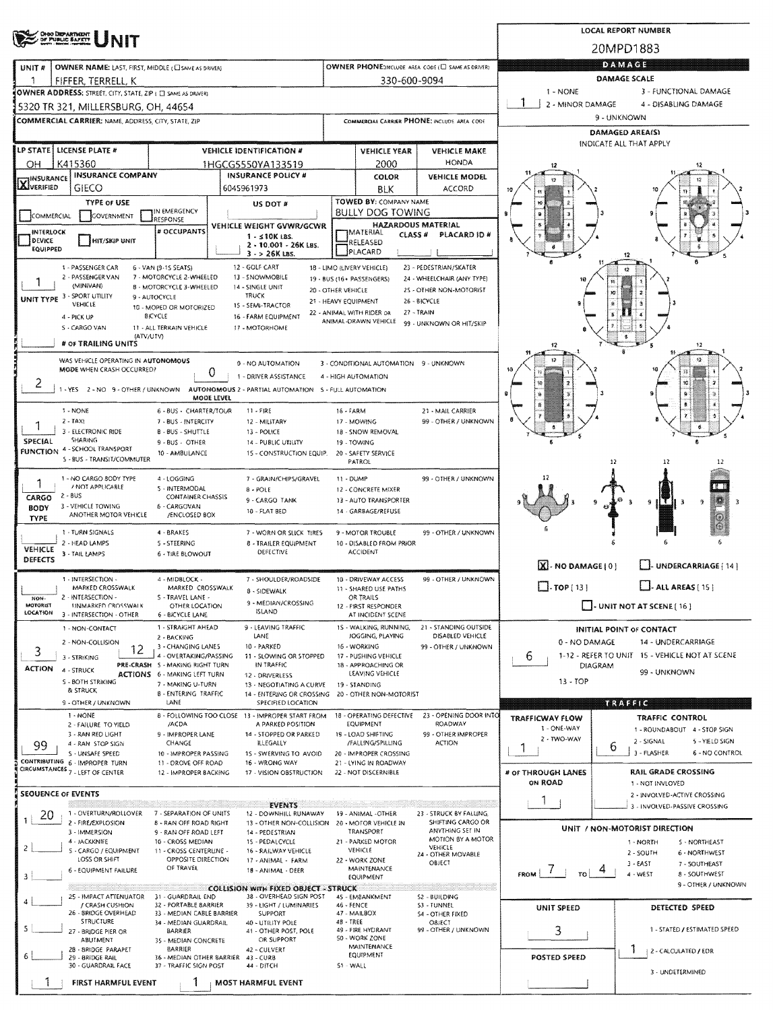|                                                                                                                    | ONGO DEPARTMENT<br>DE PUBLIC BAFETY                                |                                                           | <b>LOCAL REPORT NUMBER</b>                                                                                     |                                                 |                                                   |                                                       |                               |                                                                           |  |
|--------------------------------------------------------------------------------------------------------------------|--------------------------------------------------------------------|-----------------------------------------------------------|----------------------------------------------------------------------------------------------------------------|-------------------------------------------------|---------------------------------------------------|-------------------------------------------------------|-------------------------------|---------------------------------------------------------------------------|--|
|                                                                                                                    |                                                                    |                                                           |                                                                                                                |                                                 |                                                   |                                                       | 20MPD1883                     |                                                                           |  |
| OWNER PHONE:INCLUDE AREA CODE (E) SAME AS DRIVER:<br>OWNER NAME: LAST, FIRST, MIDDLE (C) SAME AS DRIVERY<br>UNIT # |                                                                    |                                                           |                                                                                                                |                                                 |                                                   | DAMAGE                                                |                               |                                                                           |  |
| 330-600-9094<br>FIFFER, TERRELL, K<br>-1<br>OWNER ADDRESS: STREET, CITY, STATE, ZIP ( C SAME AS ORIVER)            |                                                                    |                                                           |                                                                                                                |                                                 |                                                   |                                                       | 1 - NONE                      | <b>DAMAGE SCALE</b><br>3 - FUNCTIONAL DAMAGE                              |  |
|                                                                                                                    | 5320 TR 321, MILLERSBURG, OH, 44654                                |                                                           | 2 - MINOR DAMAGE                                                                                               | 4 - DISABLING DAMAGE                            |                                                   |                                                       |                               |                                                                           |  |
|                                                                                                                    | <b>COMMERCIAL CARRIER: NAME, ADDRESS, CITY, STATE, ZIP</b>         |                                                           |                                                                                                                |                                                 |                                                   | COMMERCIAL CARRIER PHONE: INCLUDE AREA CODE           |                               | 9 - UNKNOWN                                                               |  |
|                                                                                                                    |                                                                    |                                                           |                                                                                                                |                                                 |                                                   |                                                       | DAMAGED AREA(S)               |                                                                           |  |
|                                                                                                                    | LP STATE   LICENSE PLATE #                                         |                                                           | <b>VEHICLE IDENTIFICATION #</b>                                                                                |                                                 | <b>VEHICLE YEAR</b>                               | <b>VEHICLE MAKE</b>                                   |                               | INDICATE ALL THAT APPLY                                                   |  |
| OН                                                                                                                 | K415360                                                            |                                                           | 1HGCG5550YA133519                                                                                              |                                                 | 2000                                              | <b>HONDA</b>                                          |                               | 12                                                                        |  |
| <b>INSURANCE</b><br><b>AJVERIFIED</b>                                                                              | <b>INSURANCE COMPANY</b><br><b>GIECO</b>                           |                                                           | <b>INSURANCE POLICY #</b><br>6045961973                                                                        |                                                 | <b>COLOR</b><br><b>BLK</b>                        | <b>VEHICLE MODEL</b><br>ACCORD                        |                               |                                                                           |  |
|                                                                                                                    | <b>TYPE OF USE</b>                                                 |                                                           | US DOT #                                                                                                       |                                                 | TOWED BY: COMPANY NAME                            |                                                       |                               |                                                                           |  |
| COMMERCIAL                                                                                                         | GOVERNMENT                                                         | IN EMERGENCY<br>RESPONSE                                  |                                                                                                                |                                                 | <b>BULLY DOG TOWING</b>                           |                                                       |                               |                                                                           |  |
| <b>INTERLOCK</b><br>DEVICE                                                                                         |                                                                    | # OCCUPANTS                                               | <b>VEHICLE WEIGHT GVWR/GCWR</b><br>$1 - 510K$ LBS.                                                             |                                                 | "IMATERIAL<br><b>CLASS #</b>                      | <b>HAZARDOUS MATERIAL</b><br>PLACARD ID #             |                               |                                                                           |  |
| EQUIPPED                                                                                                           | HIT/SKIP UNIT                                                      |                                                           | 2 - 10.001 - 26K LBS.<br>$3 - 26K$ LBS.                                                                        |                                                 | RELEASED<br>PLACARD                               |                                                       |                               | 12                                                                        |  |
|                                                                                                                    | 1 - PASSENGER CAR                                                  | 6 - VAN (9-15 SEATS)                                      | 12 - GOLF CART                                                                                                 | 18 - LIMO (LIVERY VEHICLE)                      |                                                   | 23 - PEDESTRIAN/SKATER                                |                               | Ű                                                                         |  |
|                                                                                                                    | 2 - PASSENGER VAN<br>(MINIVAN)                                     | 7 - MOTORCYCLE 2-WHEELED<br>8 - MOTORCYCLE 3-WHEELED      | 13 - SNOWMOBILE<br>14 - SINGLE UNIT                                                                            | 19 - BUS (16+ PASSENGERS)<br>20 - OTHER VEHICLE |                                                   | 24 - WHEELCHAIR (ANY TYPE)<br>25 - OTHER NON-MOTORIST |                               |                                                                           |  |
|                                                                                                                    | UNIT TYPE 3 - SPORT UTILITY<br><b>VEHICLE</b>                      | 9 - AUTOCYCLE<br>10 - MOPED OR MOTORIZED                  | <b>TRUCK</b><br>15 - SEMI-TRACTOR                                                                              | 21 - HEAVY EQUIPMENT                            |                                                   | 26 - BICYCLE                                          |                               | УQ                                                                        |  |
|                                                                                                                    | 4 - PICK UP                                                        | BICYCLE                                                   | 16 - FARM EQUIPMENT                                                                                            |                                                 | 22 - ANIMAL WITH RIDER OR<br>ANIMAL-DRAWN VEHICLE | 27 - TRAIN<br>99 - UNKNOWN OR HIT/SKIP                |                               |                                                                           |  |
|                                                                                                                    | S - CARGO VAN<br>(ATV/UTV)                                         | 11 - ALL TERRAIN VEHICLE                                  | 17 - MOTORHOME                                                                                                 |                                                 |                                                   |                                                       |                               | ×                                                                         |  |
|                                                                                                                    | # OF TRAILING UNITS                                                |                                                           |                                                                                                                |                                                 |                                                   |                                                       |                               | 12                                                                        |  |
|                                                                                                                    | WAS VEHICLE OPERATING IN AUTONOMOUS<br>MODE WHEN CRASH OCCURRED?   |                                                           | 0 - NO AUTOMATION<br>0                                                                                         |                                                 | 3 - CONDITIONAL AUTOMATION 9 - UNKNOWN            |                                                       |                               |                                                                           |  |
|                                                                                                                    |                                                                    |                                                           | 1 - DRIVER ASSISTANCE<br>-YES 2 - NO 9 - OTHER / UNKNOWN AUTONOMOUS 2 - PARTIAL AUTOMATION 5 - FULL AUTOMATION | 4 - HIGH AUTOMATION                             |                                                   |                                                       |                               |                                                                           |  |
|                                                                                                                    |                                                                    |                                                           | MODE LEVEL                                                                                                     |                                                 |                                                   |                                                       |                               |                                                                           |  |
|                                                                                                                    | 1 - NONE<br>$2 - TAX$                                              | 6 - BUS - CHARTER/TOUR<br>7 - BUS - INTERCITY             | $11 - FIRE$<br>12 - MILITARY                                                                                   | 16 - FARM                                       | 17 - MOWING                                       | 21 - MAIL CARRIER<br>99 - OTHER / UNKNOWN             |                               |                                                                           |  |
|                                                                                                                    | 3 - ELECTRONIC RIDE                                                | <b>B-BUS-SHUTTLE</b>                                      | 13 - POLICE                                                                                                    |                                                 | 18 - SNOW REMOVAL                                 |                                                       |                               |                                                                           |  |
| SPECIAL                                                                                                            | <b>SHARING</b><br><b>FUNCTION 4 - SCHOOL TRANSPORT</b>             | 9 - BUS - OTHER<br>10 - AMBULANCE                         | 14 - PUBLIC UTILITY<br>15 - CONSTRUCTION EQUIP.                                                                |                                                 | 19 - TOWING<br>20 - SAFETY SERVICE                |                                                       |                               |                                                                           |  |
|                                                                                                                    | S - BUS - TRANSIT/COMMUTER                                         |                                                           |                                                                                                                |                                                 | PATROL                                            |                                                       |                               | 12                                                                        |  |
|                                                                                                                    | 1 - NO CARGO BODY TYPE<br>/ NOT APPLICABLE                         | 4 - LOGGING<br>5 - INTERMODAL                             | 7 - GRAIN/CHIPS/GRAVEL                                                                                         | 11 - DUMP                                       |                                                   | 99 - OTHER / UNKNOWN                                  |                               |                                                                           |  |
| CARGO                                                                                                              | $2 - BUS$                                                          | <b>CONTAINER CHASSIS</b>                                  | $8 - POLE$<br>9 - CARGO TANK                                                                                   |                                                 | 12 - CONCRETE MIXER<br>13 - AUTO TRANSPORTER      |                                                       |                               | $+2$<br>9<br>q<br>-3                                                      |  |
| BODY<br><b>TYPE</b>                                                                                                | 3 - VEHICLE TOWING<br>ANOTHER MOTOR VEHICLE                        | 6 - CARGOVAN<br>/ENCLOSED BOX                             | 10 - FLAT BED                                                                                                  |                                                 | 14 - GARBAGE/REFUSE                               |                                                       |                               | $_{\odot}$                                                                |  |
|                                                                                                                    | 1 - TURN SIGNALS                                                   | 4-BRAKES                                                  | 7 - WORN OR SLICK TIRES                                                                                        |                                                 | 9 - MOTOR TROUBLE                                 | 99 - OTHER / UNKNOWN                                  |                               |                                                                           |  |
| VEHICLE                                                                                                            | 2 - HEAD LAMPS<br>3 - TAIL LAMPS                                   | 5 - STEERING<br>6 - TIRE BLOWOUT                          | <b>8 - TRAILER EQUIPMENT</b><br>DEFECTIVE                                                                      |                                                 | 10 - DISABLED FROM PRIOR<br><b>ACCIDENT</b>       |                                                       |                               |                                                                           |  |
| <b>DEFECTS</b>                                                                                                     |                                                                    |                                                           |                                                                                                                |                                                 |                                                   |                                                       | [X] - NO DAMAGE [ 0 ]         | L. UNDERCARRIAGE [ 14 ]                                                   |  |
|                                                                                                                    | 1 - INTERSECTION -<br>MARKED CROSSWALK                             | 4 - MIDBLOCK -<br>MARKED CROSSWALK                        | 7 - SHOULDER/ROADSIDE                                                                                          |                                                 | 10 - DRIVEWAY ACCESS                              | 99 - OTHER / UNKNOWN                                  | $\Box$ TOP ( 13 ]             | $\Box$ - ALL AREAS [ 15 ]                                                 |  |
| NON-                                                                                                               | 2 - INTERSECTION -                                                 | S - TRAVEL LANE -                                         | 8 - SIDEWALK<br>9 - MEDIAN/CROSSING                                                                            |                                                 | 11 - SHARED USE PATHS<br>OR TRAILS                |                                                       |                               |                                                                           |  |
| MOTORIST<br>LOCATION                                                                                               | <b>ISNMARKED CROSSWALK</b><br>3 - INTERSECTION - OTHER             | OTHER LOCATION<br><b>6 - BICYCLE LANE</b>                 | <b>ISLAND</b>                                                                                                  |                                                 | 12 - FIRST RESPONDER<br>AT INCIDENT SCENE         |                                                       |                               | - UNIT NOT AT SCENE [ 16 ]                                                |  |
|                                                                                                                    | 1 - NON-CONTACT                                                    | 1 - STRAIGHT AHEAD<br>2 - BACKING                         | 9 - LEAVING TRAFFIC<br>LANE                                                                                    |                                                 | 15 - WALKING, RUNNING,<br>JOGGING, PLAYING        | 21 - STANDING OUTSIDE<br>DISABLED VEHICLE             |                               | INITIAL POINT OF CONTACT                                                  |  |
| 3                                                                                                                  | 2 - NON-COLLISION<br>12                                            | 3 - CHANGING LANES                                        | 10 - PARKED                                                                                                    |                                                 | 16 - WORKING                                      | 99 - OTHER / UNKNOWN                                  | 0 - NO DAMAGE                 | 14 - UNDERCARRIAGE                                                        |  |
| <b>ACTION</b>                                                                                                      | 3 - STRIKING<br>4 - STRUCK                                         | 4 - OVERTAKING/PASSING<br>PRE-CRASH 5 - MAKING RIGHT TURN | 11 - SLOWING OR STOPPED<br>IN TRAFFIC                                                                          |                                                 | 17 - PUSHING VEHICLE<br>18 - APPROACHING OR       |                                                       | 6                             | 1-12 - REFER TO UNIT 15 - VEHICLE NOT AT SCENE<br>DIAGRAM                 |  |
|                                                                                                                    | S - BOTH STRIKING                                                  | <b>ACTIONS</b> 6 - MAKING LEFT TURN<br>7 - MAKING U-TURN  | 12 - DRIVERLESS<br>13 - NEGOTIATING A CURVE                                                                    |                                                 | LEAVING VEHICLE<br>19 - STANDING                  |                                                       | $13 - TOP$                    | 99 - UNKNOWN                                                              |  |
|                                                                                                                    | & STRUCK<br>9 - OTHER / UNKNOWN                                    | <b>B-ENTERING TRAFFIC</b><br>LANE                         | 14 - ENTERING OR CROSSING<br>SPECIFIED LOCATION                                                                |                                                 | 20 - OTHER NON-MOTORIST                           |                                                       |                               | <b>MEXISTS</b>                                                            |  |
|                                                                                                                    | 1 - NONE                                                           |                                                           | 8 - FOLLOWING TOO CLOSE 13 - IMPROPER START FROM                                                               |                                                 | 18 - OPERATING DEFECTIVE                          | 23 - OPENING DOOR INTO                                | <b>TRAFFICWAY FLOW</b>        | <b>TRAFFIC CONTROL</b>                                                    |  |
|                                                                                                                    | 2 - FAILURE TO YIELD<br>3 - RAN RED LIGHT                          | /ACDA<br>9 - IMPROPER LANE                                | A PARKED POSITION<br>14 - STOPPED OR PARKED                                                                    |                                                 | EQUIPMENT<br>19 - LOAD SHIFTING                   | ROADWAY<br>99 - OTHER IMPROPER                        | 1 - ONE-WAY                   | 1 - ROUNDABOUT 4 - STOP SIGN                                              |  |
| 99                                                                                                                 | 4 - RAN STOP SIGN<br>S - UNSAFE SPEED                              | CHANGE<br>10 - IMPROPER PASSING                           | <b>ILLEGALLY</b><br>15 - SWERVING TO AVOID                                                                     |                                                 | /FALLING/SPILLING<br>20 - IMPROPER CROSSING       | <b>ACTION</b>                                         | 2 - TWO-WAY                   | 2 - SIGNAL<br>5 - YIELD SIGN<br>6<br>3 - FLASHER<br><b>6 - NO CONTROL</b> |  |
|                                                                                                                    | CONTRIBUTING 6 - IMPROPER TURN<br>CIRCUMSTANCES 7 - LEFT OF CENTER | 11 - DROVE OFF ROAD                                       | 16 - WRONG WAY                                                                                                 |                                                 | 21 - LYING IN ROADWAY                             |                                                       |                               |                                                                           |  |
|                                                                                                                    |                                                                    | 12 - IMPROPER BACKING                                     | 17 - VISION OBSTRUCTION                                                                                        |                                                 | 22 - NOT DISCERNIBLE                              |                                                       | # OF THROUGH LANES<br>ON ROAD | <b>RAIL GRADE CROSSING</b><br>1 - NOT INVLOVED                            |  |
|                                                                                                                    | SEOUENCE OF EVENTS                                                 |                                                           |                                                                                                                |                                                 |                                                   |                                                       |                               | 2 - INVOLVED-ACTIVE CROSSING                                              |  |
| 20                                                                                                                 | 1 - OVERTURN/ROLLOVER                                              | 7 - SEPARATION OF UNITS                                   | <b>EVENTS</b><br>12 - DOWNHILL RUNAWAY                                                                         |                                                 | 19 - ANIMAL -OTHER                                | 23 - STRUCK BY FALLING,                               |                               | 3 - INVOLVED-PASSIVE CROSSING                                             |  |
|                                                                                                                    | 2 - FIRE/EXPLOSION<br>3 - IMMERSION                                | <b>B - RAN OFF ROAD RIGHT</b><br>9 - RAN OFF ROAD LEFT    | 13 - OTHER NON-COLLISION<br>14 - PEDESTRIAN                                                                    |                                                 | 20 - MOTOR VEHICLE IN<br>TRANSPORT                | SHIFTING CARGO OR<br>ANYTHING SET IN                  |                               | UNIT / NON-MOTORIST DIRECTION                                             |  |
| $\overline{c}$                                                                                                     | 4 - JACKKNIFE<br>S - CARGO / EQUIPMENT                             | 10 - CROSS MEDIAN<br>11 - CROSS CENTERLINE -              | 15 - PEDALCYCLE<br>16 - RAILWAY VEHICLE                                                                        |                                                 | 21 - PARKED MOTOR<br>VEHICLE                      | MOTION BY A MOTOR<br>VEHICLE                          |                               | 1 - NORTH<br>S - NORTHEAST<br>2 - SOUTH<br>6 - NORTHWEST                  |  |
|                                                                                                                    | LOSS OR SHIFT                                                      | OPPOSITE DIRECTION<br>OF TRAVEL                           | 17 - ANIMAL - FARM                                                                                             |                                                 | 22 - WORK ZONE<br>MAINTENANCE                     | 24 - OTHER MOVABLE<br>OBJECT                          |                               | 3 - EAST<br>7 - SOUTHEAST                                                 |  |
|                                                                                                                    | 6 - EQUIPMENT FAILURE                                              |                                                           | 18 - ANIMAL - DEER                                                                                             |                                                 | EQUIPMENT                                         |                                                       | $FROM$   $7$  <br>TO          | $4 - WEST$<br><b>8 - SOUTHWEST</b><br>9 - OTHER / UNKNOWN                 |  |
| 4                                                                                                                  | 25 - IMPACT ATTENUATOR                                             | 31 - GUARDRAIL END                                        | <b>COLLISION WITH FIXED OBJECT - STRUCK</b><br>38 - OVERHEAD SIGN POST                                         |                                                 | 45 - EMBANKMENT                                   | ang manapang pangang<br>S2 - BUILDING                 |                               |                                                                           |  |
|                                                                                                                    | / CRASH CUSHION<br>26 - BRIDGE OVERHEAD                            | 32 - PORTABLE BARRIER<br>33 - MEDIAN CABLE BARRIER        | 39 - LIGHT / LUMINARIES<br>SUPPORT                                                                             | 46 - FENCE                                      | 47 - MAILBOX                                      | S3 - TUNNEL<br><b>S4 - OTHER FIXED</b>                | <b>UNIT SPEED</b>             | DETECTED SPEED                                                            |  |
|                                                                                                                    | STRUCTURE<br>27 - BRIDGE PIER OR                                   | 34 - MEDIAN GUARDRAIL<br>BARRIER                          | 40 - UTILITY POLE<br>41 - OTHER POST, POLE                                                                     | 48 - TREE                                       | 49 - FIRE HYDRANT                                 | OBJECT<br>99 - OTHER / UNKNOWN                        | 3                             | 1 - STATED / ESTIMATED SPEED                                              |  |
|                                                                                                                    | <b>ABUTMENT</b><br>28 - 8RIDGE PARAPET                             | 35 - MEDIAN CONCRETE<br><b>BARRIER</b>                    | OR SUPPORT<br>42 - CULVERT                                                                                     |                                                 | 50 - WORK ZONE<br>MAINTENANCE                     |                                                       |                               |                                                                           |  |
|                                                                                                                    | 29 - BRIDGE RAIL<br>30 - GUARDRAIL FACE                            | 36 - MEDIAN OTHER BARRIER<br>37 - TRAFFIC SIGN POST       | 43 - CURB<br>44 - DITCH                                                                                        | 51 - WALL                                       | EQUIPMENT                                         |                                                       | POSTED SPEED                  | 2 - CALCULATED / EDR                                                      |  |
|                                                                                                                    | FIRST HARMFUL EVENT                                                | 1                                                         |                                                                                                                |                                                 |                                                   |                                                       |                               | 3 - UNDETERMINED                                                          |  |
|                                                                                                                    |                                                                    |                                                           | <b>MOST HARMFUL EVENT</b>                                                                                      |                                                 |                                                   |                                                       |                               |                                                                           |  |